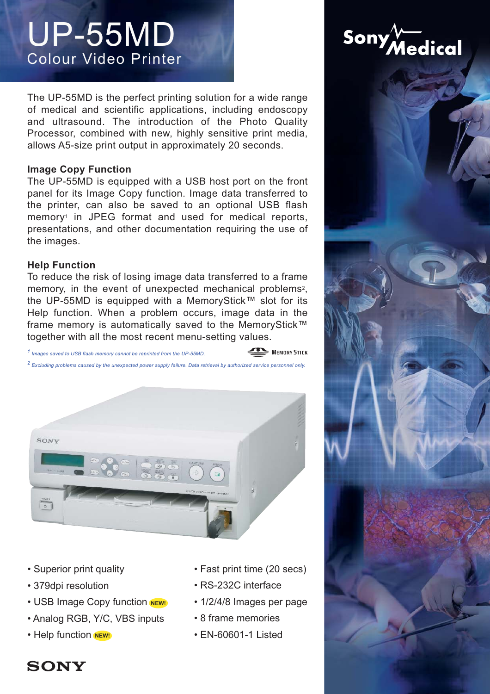# UP-55MD Colour Video Printer

The UP-55MD is the perfect printing solution for a wide range of medical and scientific applications, including endoscopy and ultrasound. The introduction of the Photo Quality Processor, combined with new, highly sensitive print media, allows A5-size print output in approximately 20 seconds.

The UP-55MD is equipped with a USB host port on the front panel for its Image Copy function. Image data transferred to the printer, can also be saved to an optional USB flash memory<sup>1</sup> in JPEG format and used for medical reports, presentations, and other documentation requiring the use of the images.

**Help Function**<br>To reduce the risk of losing image data transferred to a frame memory, in the event of unexpected mechanical problems<sup>2</sup>, the UP-55MD is equipped with a MemoryStick™ slot for its Help function. When a problem occurs, image data in the frame memory is automatically saved to the MemoryStick™ together with all the most recent menu-setting values.

*1 Images saved to USB flash memory cannot be reprinted from the UP-55MD.*

*2 Excluding problems caused by the unexpected power supply failure. Data retrieval by authorized service personnel only.*



- Superior print quality
- 379dpi resolution
- USB Image Copy function **NEW!**
- Analog RGB, Y/C, VBS inputs
- Help function NEW!

• Fast print time (20 secs)

MEMORY STICK

- RS-232C interface
- 1/2/4/8 Images per page
- 8 frame memories
- **NEW!** EN-60601-1 Listed





# **SONY**